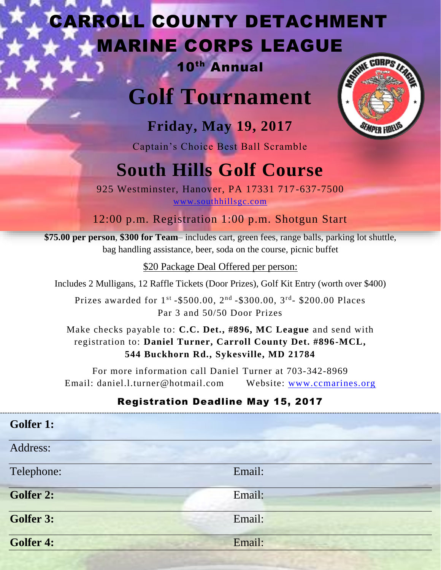## CARROLL COUNTY DETACHMENT MARINE CORPS LEAGUE

## 10th Annual

# **Golf Tournament**



**Friday, May 19, 2017**

Captain's Choice Best Ball Scramble

## **South Hills Golf Course**

925 Westminster, Hanover, PA 17331 717-637-7500 [www.southhillsgc.com](http://www.southhillsgc.com/)

12:00 p.m. Registration 1:00 p.m. Shotgun Start

**\$75.00 per person**, **\$300 for Team**– includes cart, green fees, range balls, parking lot shuttle, bag handling assistance, beer, soda on the course, picnic buffet

\$20 Package Deal Offered per person:

Includes 2 Mulligans, 12 Raffle Tickets (Door Prizes), Golf Kit Entry (worth over \$400)

Prizes awarded for 1<sup>st</sup> -\$500.00, 2<sup>nd</sup> -\$300.00, 3<sup>rd</sup>- \$200.00 Places Par 3 and 50/50 Door Prizes

Make checks payable to: **C.C. Det., #896, MC League** and send with registration to: **Daniel Turner, Carroll County Det. #896-MCL, 544 Buckhorn Rd., Sykesville, MD 21784**

For more information call Daniel Turner at 703-342-8969 Email: daniel.l.turner@hotmail.com Website: [www.ccmarines.org](http://www.ccmarines.org/)

## Registration Deadline May 15, 2017

| <b>Golfer 1:</b> |        |  |
|------------------|--------|--|
| Address:         |        |  |
| Telephone:       | Email: |  |
| <b>Golfer 2:</b> | Email: |  |
| Golfer 3:        | Email: |  |
| Golfer 4:        | Email: |  |